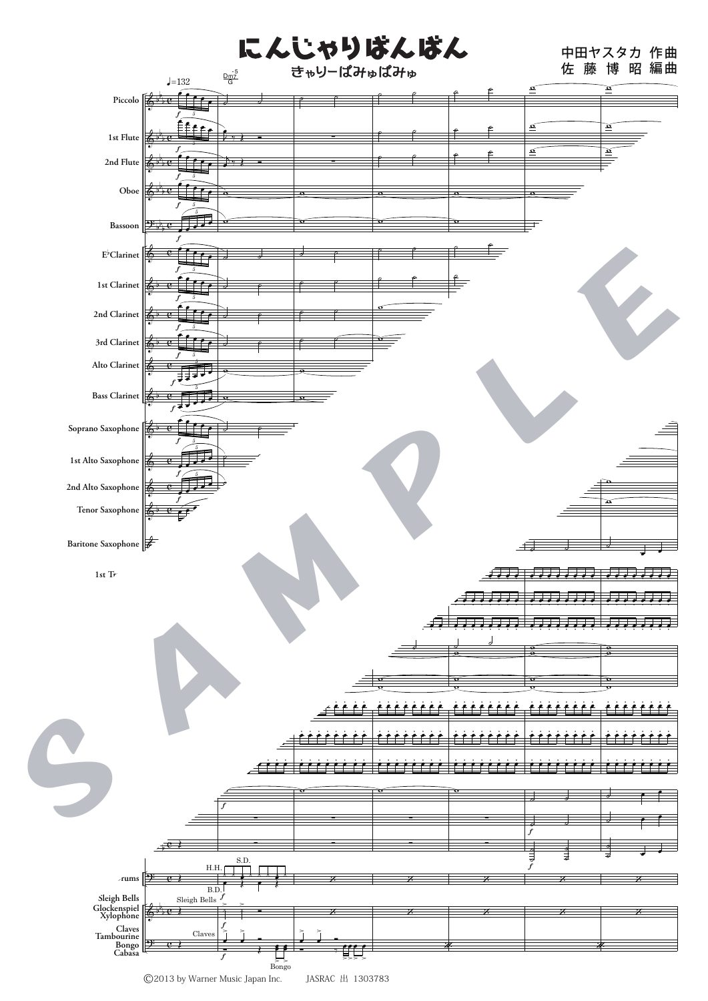